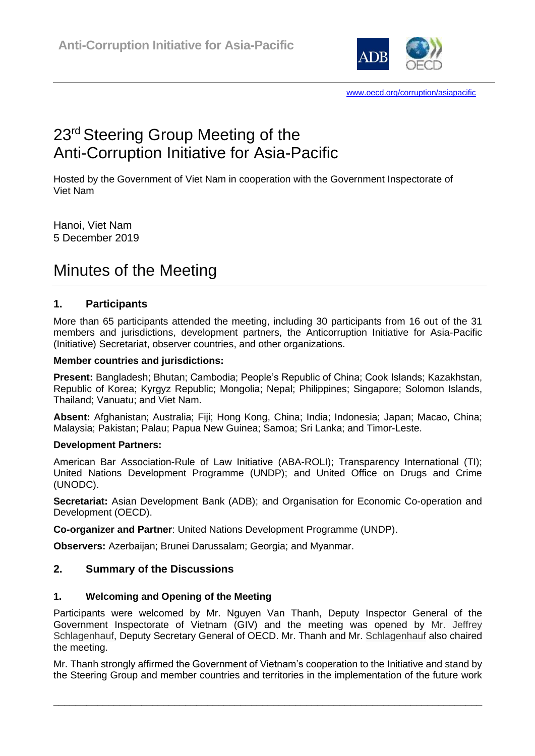

# 23<sup>rd</sup> Steering Group Meeting of the Anti-Corruption Initiative for Asia-Pacific

Hosted by the Government of Viet Nam in cooperation with the Government Inspectorate of Viet Nam

Hanoi, Viet Nam 5 December 2019

# Minutes of the Meeting

# **1. Participants**

More than 65 participants attended the meeting, including 30 participants from 16 out of the 31 members and jurisdictions, development partners, the Anticorruption Initiative for Asia-Pacific (Initiative) Secretariat, observer countries, and other organizations.

## **Member countries and jurisdictions:**

**Present:** Bangladesh; Bhutan; Cambodia; People's Republic of China; Cook Islands; Kazakhstan, Republic of Korea; Kyrgyz Republic; Mongolia; Nepal; Philippines; Singapore; Solomon Islands, Thailand; Vanuatu; and Viet Nam.

**Absent:** Afghanistan; Australia; Fiji; Hong Kong, China; India; Indonesia; Japan; Macao, China; Malaysia; Pakistan; Palau; Papua New Guinea; Samoa; Sri Lanka; and Timor-Leste.

# **Development Partners:**

American Bar Association-Rule of Law Initiative (ABA-ROLI); Transparency International (TI); United Nations Development Programme (UNDP); and United Office on Drugs and Crime (UNODC).

**Secretariat:** Asian Development Bank (ADB); and Organisation for Economic Co-operation and Development (OECD).

**Co-organizer and Partner**: United Nations Development Programme (UNDP).

**Observers:** Azerbaijan; Brunei Darussalam; Georgia; and Myanmar.

# **2. Summary of the Discussions**

# **1. Welcoming and Opening of the Meeting**

Participants were welcomed by Mr. Nguyen Van Thanh, Deputy Inspector General of the Government Inspectorate of Vietnam (GIV) and the meeting was opened by Mr. Jeffrey Schlagenhauf, Deputy Secretary General of OECD. Mr. Thanh and Mr. Schlagenhauf also chaired the meeting.

Mr. Thanh strongly affirmed the Government of Vietnam's cooperation to the Initiative and stand by the Steering Group and member countries and territories in the implementation of the future work

\_\_\_\_\_\_\_\_\_\_\_\_\_\_\_\_\_\_\_\_\_\_\_\_\_\_\_\_\_\_\_\_\_\_\_\_\_\_\_\_\_\_\_\_\_\_\_\_\_\_\_\_\_\_\_\_\_\_\_\_\_\_\_\_\_\_\_\_\_\_\_\_\_\_\_\_\_\_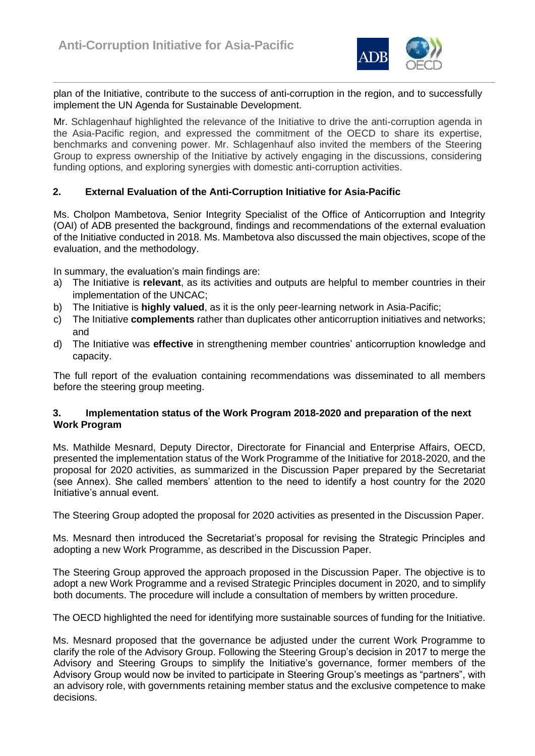

plan of the Initiative, contribute to the success of anti-corruption in the region, and to successfully implement the UN Agenda for Sustainable Development.

Mr. Schlagenhauf highlighted the relevance of the Initiative to drive the anti-corruption agenda in the Asia-Pacific region, and expressed the commitment of the OECD to share its expertise, benchmarks and convening power. Mr. Schlagenhauf also invited the members of the Steering Group to express ownership of the Initiative by actively engaging in the discussions, considering funding options, and exploring synergies with domestic anti-corruption activities.

## **2. External Evaluation of the Anti-Corruption Initiative for Asia-Pacific**

Ms. Cholpon Mambetova, Senior Integrity Specialist of the Office of Anticorruption and Integrity (OAI) of ADB presented the background, findings and recommendations of the external evaluation of the Initiative conducted in 2018. Ms. Mambetova also discussed the main objectives, scope of the evaluation, and the methodology.

In summary, the evaluation's main findings are:

- a) The Initiative is **relevant**, as its activities and outputs are helpful to member countries in their implementation of the UNCAC;
- b) The Initiative is **highly valued**, as it is the only peer-learning network in Asia-Pacific;
- c) The Initiative **complements** rather than duplicates other anticorruption initiatives and networks; and
- d) The Initiative was **effective** in strengthening member countries' anticorruption knowledge and capacity.

The full report of the evaluation containing recommendations was disseminated to all members before the steering group meeting.

#### **3. Implementation status of the Work Program 2018-2020 and preparation of the next Work Program**

Ms. Mathilde Mesnard, Deputy Director, Directorate for Financial and Enterprise Affairs, OECD, presented the implementation status of the Work Programme of the Initiative for 2018-2020, and the proposal for 2020 activities, as summarized in the Discussion Paper prepared by the Secretariat (see Annex). She called members' attention to the need to identify a host country for the 2020 Initiative's annual event.

The Steering Group adopted the proposal for 2020 activities as presented in the Discussion Paper.

Ms. Mesnard then introduced the Secretariat's proposal for revising the Strategic Principles and adopting a new Work Programme, as described in the Discussion Paper.

The Steering Group approved the approach proposed in the Discussion Paper. The objective is to adopt a new Work Programme and a revised Strategic Principles document in 2020, and to simplify both documents. The procedure will include a consultation of members by written procedure.

The OECD highlighted the need for identifying more sustainable sources of funding for the Initiative.

Ms. Mesnard proposed that the governance be adjusted under the current Work Programme to clarify the role of the Advisory Group. Following the Steering Group's decision in 2017 to merge the Advisory and Steering Groups to simplify the Initiative's governance, former members of the Advisory Group would now be invited to participate in Steering Group's meetings as "partners", with an advisory role, with governments retaining member status and the exclusive competence to make decisions.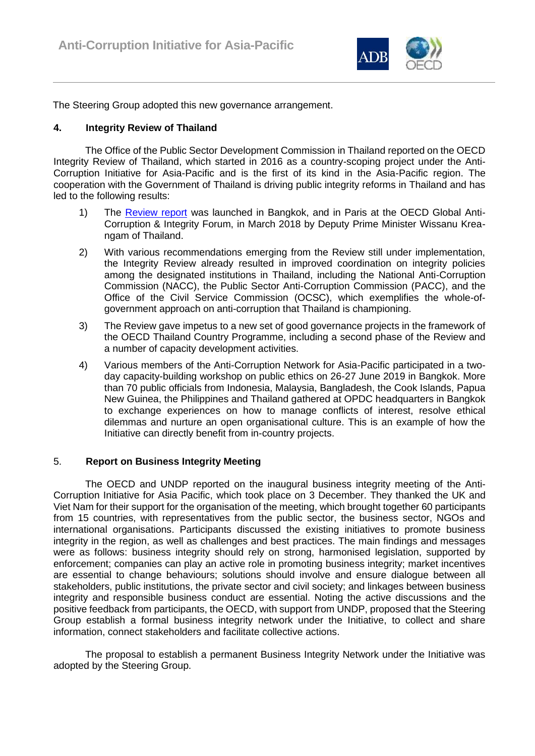

The Steering Group adopted this new governance arrangement.

## **4. Integrity Review of Thailand**

The Office of the Public Sector Development Commission in Thailand reported on the OECD Integrity Review of Thailand, which started in 2016 as a country-scoping project under the Anti-Corruption Initiative for Asia-Pacific and is the first of its kind in the Asia-Pacific region. The cooperation with the Government of Thailand is driving public integrity reforms in Thailand and has led to the following results:

- 1) The [Review report](https://www.oecd.org/countries/thailand/oecd-integrity-review-of-thailand-9789264291928-en.htm) was launched in Bangkok, and in Paris at the OECD Global Anti-Corruption & Integrity Forum, in March 2018 by Deputy Prime Minister Wissanu Kreangam of Thailand.
- 2) With various recommendations emerging from the Review still under implementation, the Integrity Review already resulted in improved coordination on integrity policies among the designated institutions in Thailand, including the National Anti-Corruption Commission (NACC), the Public Sector Anti-Corruption Commission (PACC), and the Office of the Civil Service Commission (OCSC), which exemplifies the whole-ofgovernment approach on anti-corruption that Thailand is championing.
- 3) The Review gave impetus to a new set of good governance projects in the framework of the OECD Thailand Country Programme, including a second phase of the Review and a number of capacity development activities.
- 4) Various members of the Anti-Corruption Network for Asia-Pacific participated in a twoday capacity-building workshop on public ethics on 26-27 June 2019 in Bangkok. More than 70 public officials from Indonesia, Malaysia, Bangladesh, the Cook Islands, Papua New Guinea, the Philippines and Thailand gathered at OPDC headquarters in Bangkok to exchange experiences on how to manage conflicts of interest, resolve ethical dilemmas and nurture an open organisational culture. This is an example of how the Initiative can directly benefit from in-country projects.

#### 5. **Report on Business Integrity Meeting**

The OECD and UNDP reported on the inaugural business integrity meeting of the Anti-Corruption Initiative for Asia Pacific, which took place on 3 December. They thanked the UK and Viet Nam for their support for the organisation of the meeting, which brought together 60 participants from 15 countries, with representatives from the public sector, the business sector, NGOs and international organisations. Participants discussed the existing initiatives to promote business integrity in the region, as well as challenges and best practices. The main findings and messages were as follows: business integrity should rely on strong, harmonised legislation, supported by enforcement; companies can play an active role in promoting business integrity; market incentives are essential to change behaviours; solutions should involve and ensure dialogue between all stakeholders, public institutions, the private sector and civil society; and linkages between business integrity and responsible business conduct are essential. Noting the active discussions and the positive feedback from participants, the OECD, with support from UNDP, proposed that the Steering Group establish a formal business integrity network under the Initiative, to collect and share information, connect stakeholders and facilitate collective actions.

The proposal to establish a permanent Business Integrity Network under the Initiative was adopted by the Steering Group.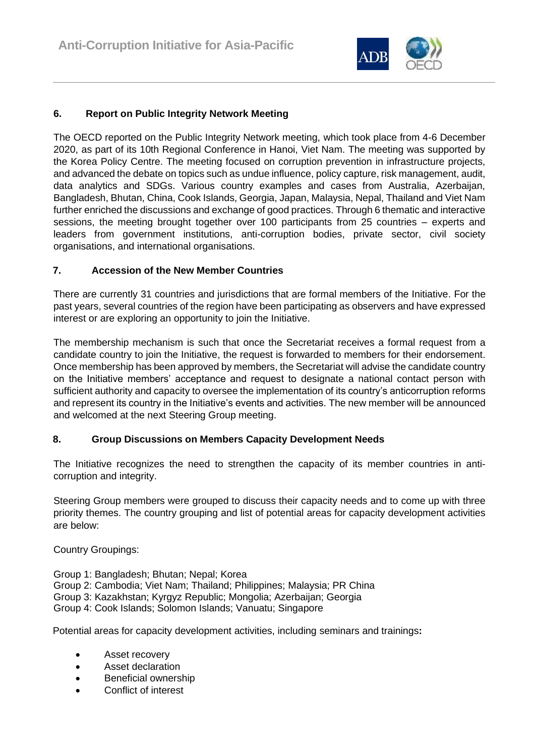

# **6. Report on Public Integrity Network Meeting**

The OECD reported on the Public Integrity Network meeting, which took place from 4-6 December 2020, as part of its 10th Regional Conference in Hanoi, Viet Nam. The meeting was supported by the Korea Policy Centre. The meeting focused on corruption prevention in infrastructure projects, and advanced the debate on topics such as undue influence, policy capture, risk management, audit, data analytics and SDGs. Various country examples and cases from Australia, Azerbaijan, Bangladesh, Bhutan, China, Cook Islands, Georgia, Japan, Malaysia, Nepal, Thailand and Viet Nam further enriched the discussions and exchange of good practices. Through 6 thematic and interactive sessions, the meeting brought together over 100 participants from 25 countries – experts and leaders from government institutions, anti-corruption bodies, private sector, civil society organisations, and international organisations.

# **7. Accession of the New Member Countries**

There are currently 31 countries and jurisdictions that are formal members of the Initiative. For the past years, several countries of the region have been participating as observers and have expressed interest or are exploring an opportunity to join the Initiative.

The membership mechanism is such that once the Secretariat receives a formal request from a candidate country to join the Initiative, the request is forwarded to members for their endorsement. Once membership has been approved by members, the Secretariat will advise the candidate country on the Initiative members' acceptance and request to designate a national contact person with sufficient authority and capacity to oversee the implementation of its country's anticorruption reforms and represent its country in the Initiative's events and activities. The new member will be announced and welcomed at the next Steering Group meeting.

# **8. Group Discussions on Members Capacity Development Needs**

The Initiative recognizes the need to strengthen the capacity of its member countries in anticorruption and integrity.

Steering Group members were grouped to discuss their capacity needs and to come up with three priority themes. The country grouping and list of potential areas for capacity development activities are below:

Country Groupings:

Group 1: Bangladesh; Bhutan; Nepal; Korea

Group 2: Cambodia; Viet Nam; Thailand; Philippines; Malaysia; PR China

Group 3: Kazakhstan; Kyrgyz Republic; Mongolia; Azerbaijan; Georgia

Group 4: Cook Islands; Solomon Islands; Vanuatu; Singapore

Potential areas for capacity development activities, including seminars and trainings**:**

- Asset recovery
- Asset declaration
- **Beneficial ownership**
- Conflict of interest